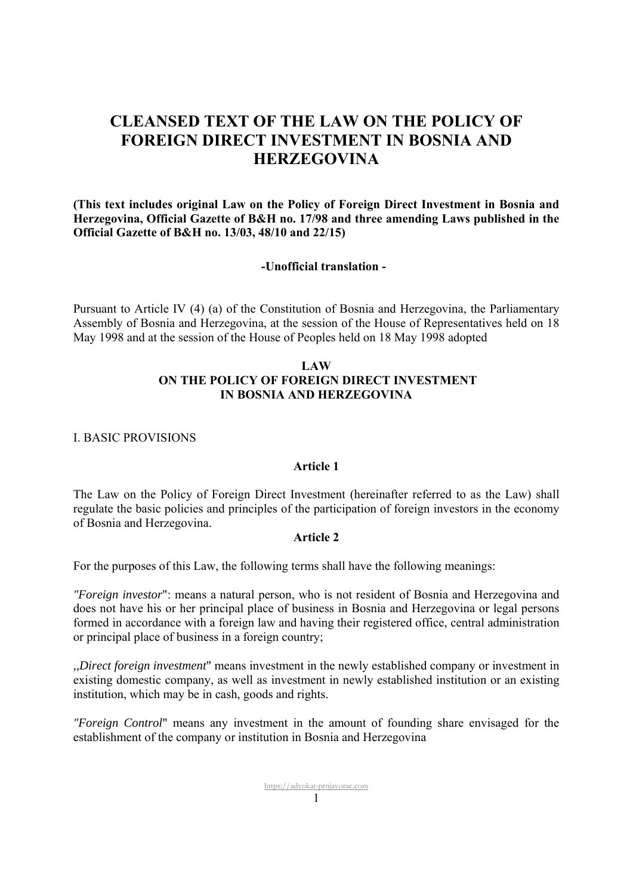# **CLEANSED TEXT OF THE LAW ON THE POLICY OF FOREIGN DIRECT INVESTMENT IN BOSNIA AND HERZEGOVINA**

**(This text includes original Law on the Policy of Foreign Direct Investment in Bosnia and Herzegovina, Official Gazette of B&H no. 17/98 and three amending Laws published in the Official Gazette of B&H no. 13/03, 48/10 and 22/15)** 

#### **-Unofficial translation -**

Pursuant to Article IV (4) (a) of the Constitution of Bosnia and Herzegovina, the Parliamentary Assembly of Bosnia and Herzegovina, at the session of the House of Representatives held on 18 May 1998 and at the session of the House of Peoples held on 18 May 1998 adopted

# **LAW ON THE POLICY OF FOREIGN DIRECT INVESTMENT IN BOSNIA AND HERZEGOVINA**

# I. BASIC PROVISIONS

#### **Article 1**

The Law on the Policy of Foreign Direct Investment (hereinafter referred to as the Law) shall regulate the basic policies and principles of the participation of foreign investors in the economy of Bosnia and Herzegovina.

#### **Article 2**

For the purposes of this Law, the following terms shall have the following meanings:

*"Foreign investor*": means a natural person, who is not resident of Bosnia and Herzegovina and does not have his or her principal place of business in Bosnia and Herzegovina or legal persons formed in accordance with a foreign law and having their registered office, central administration or principal place of business in a foreign country;

*,,Direct foreign investment*" means investment in the newly established company or investment in existing domestic company, as well as investment in newly established institution or an existing institution, which may be in cash, goods and rights.

*"Foreign Control*" means any investment in the amount of founding share envisaged for the establishment of the company or institution in Bosnia and Herzegovina

> https://advokat-prnjavorac.com  $\sim$  1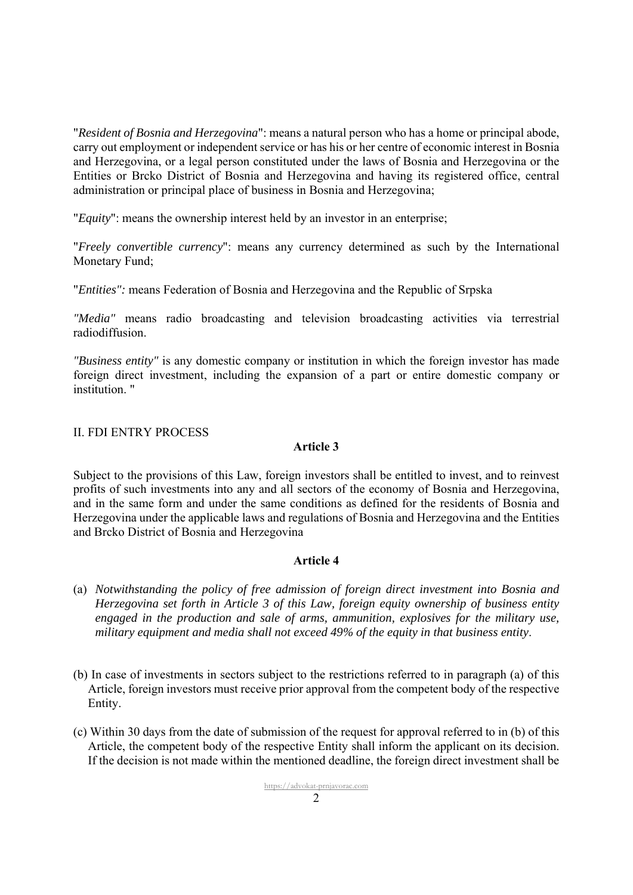"*Resident of Bosnia and Herzegovina*": means a natural person who has a home or principal abode, carry out employment or independent service or has his or her centre of economic interest in Bosnia and Herzegovina, or a legal person constituted under the laws of Bosnia and Herzegovina or the Entities or Brcko District of Bosnia and Herzegovina and having its registered office, central administration or principal place of business in Bosnia and Herzegovina;

"*Equity*": means the ownership interest held by an investor in an enterprise;

"*Freely convertible currency*": means any currency determined as such by the International Monetary Fund;

"*Entities":* means Federation of Bosnia and Herzegovina and the Republic of Srpska

*"Media"* means radio broadcasting and television broadcasting activities via terrestrial radiodiffusion.

*"Business entity"* is any domestic company or institution in which the foreign investor has made foreign direct investment, including the expansion of a part or entire domestic company or institution. "

# II. FDI ENTRY PROCESS

## **Article 3**

Subject to the provisions of this Law, foreign investors shall be entitled to invest, and to reinvest profits of such investments into any and all sectors of the economy of Bosnia and Herzegovina, and in the same form and under the same conditions as defined for the residents of Bosnia and Herzegovina under the applicable laws and regulations of Bosnia and Herzegovina and the Entities and Brcko District of Bosnia and Herzegovina

- (a) *Notwithstanding the policy of free admission of foreign direct investment into Bosnia and Herzegovina set forth in Article 3 of this Law, foreign equity ownership of business entity engaged in the production and sale of arms, ammunition, explosives for the military use, military equipment and media shall not exceed 49% of the equity in that business entity*.
- (b) In case of investments in sectors subject to the restrictions referred to in paragraph (a) of this Article, foreign investors must receive prior approval from the competent body of the respective Entity.
- (c) Within 30 days from the date of submission of the request for approval referred to in (b) of this Article, the competent body of the respective Entity shall inform the applicant on its decision. If the decision is not made within the mentioned deadline, the foreign direct investment shall be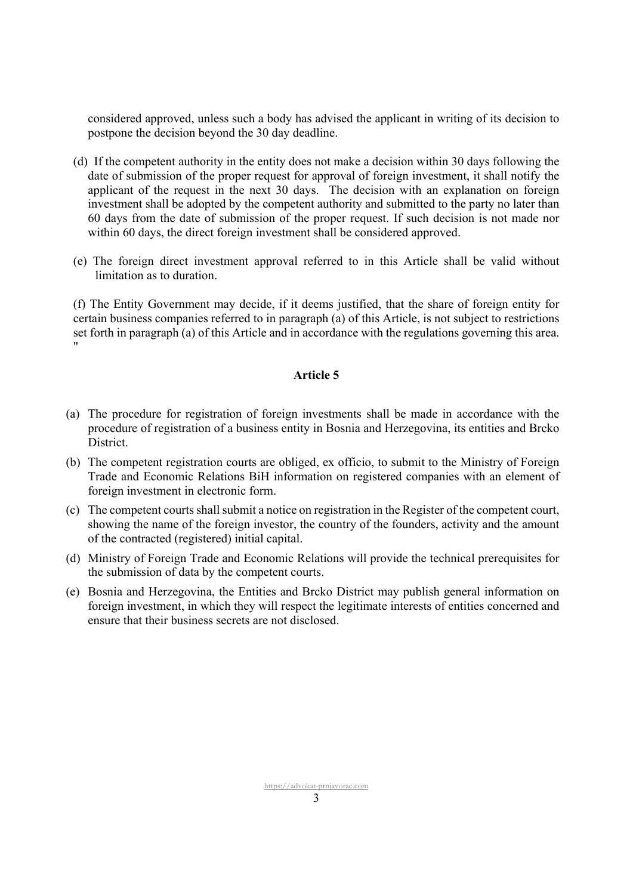considered approved, unless such a body has advised the applicant in writing of its decision to postpone the decision beyond the 30 day deadline.

- (d) If the competent authority in the entity does not make a decision within 30 days following the date of submission of the proper request for approval of foreign investment, it shall notify the applicant of the request in the next 30 days. The decision with an explanation on foreign investment shall be adopted by the competent authority and submitted to the party no later than 60 days from the date of submission of the proper request. If such decision is not made nor within 60 days, the direct foreign investment shall be considered approved.
- (e) The foreign direct investment approval referred to in this Article shall be valid without limitation as to duration.

(f) The Entity Government may decide, if it deems justified, that the share of foreign entity for certain business companies referred to in paragraph (a) of this Article, is not subject to restrictions set forth in paragraph (a) of this Article and in accordance with the regulations governing this area. "

- (a) The procedure for registration of foreign investments shall be made in accordance with the procedure of registration of a business entity in Bosnia and Herzegovina, its entities and Brcko District.
- (b) The competent registration courts are obliged, ex officio, to submit to the Ministry of Foreign Trade and Economic Relations BiH information on registered companies with an element of foreign investment in electronic form.
- (c) The competent courts shall submit a notice on registration in the Register of the competent court, showing the name of the foreign investor, the country of the founders, activity and the amount of the contracted (registered) initial capital.
- (d) Ministry of Foreign Trade and Economic Relations will provide the technical prerequisites for the submission of data by the competent courts.
- (e) Bosnia and Herzegovina, the Entities and Brcko District may publish general information on foreign investment, in which they will respect the legitimate interests of entities concerned and ensure that their business secrets are not disclosed.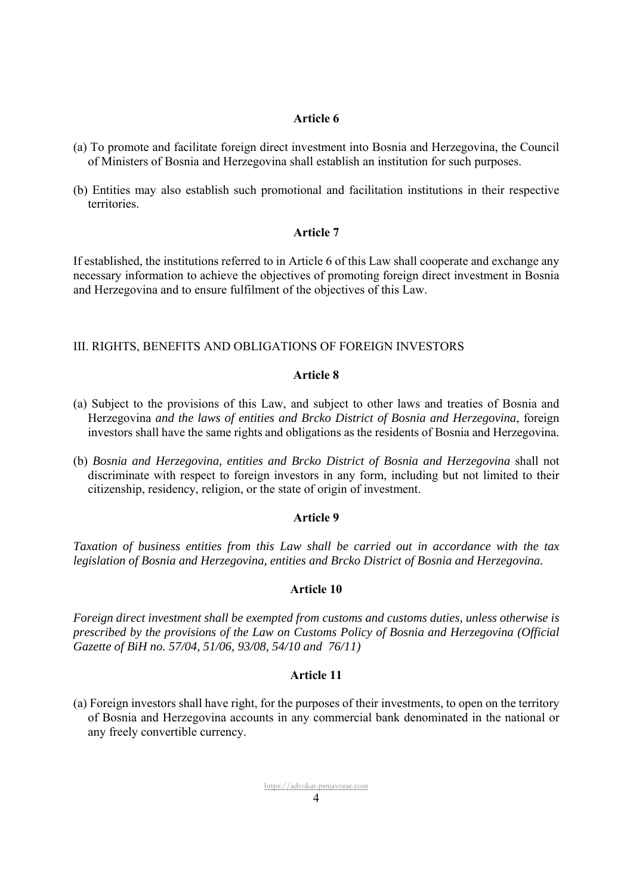#### **Article 6**

- (a) To promote and facilitate foreign direct investment into Bosnia and Herzegovina, the Council of Ministers of Bosnia and Herzegovina shall establish an institution for such purposes.
- (b) Entities may also establish such promotional and facilitation institutions in their respective territories.

#### **Article 7**

If established, the institutions referred to in Article 6 of this Law shall cooperate and exchange any necessary information to achieve the objectives of promoting foreign direct investment in Bosnia and Herzegovina and to ensure fulfilment of the objectives of this Law.

## III. RIGHTS, BENEFITS AND OBLIGATIONS OF FOREIGN INVESTORS

#### **Article 8**

- (a) Subject to the provisions of this Law, and subject to other laws and treaties of Bosnia and Herzegovina *and the laws of entities and Brcko District of Bosnia and Herzegovina*, foreign investors shall have the same rights and obligations as the residents of Bosnia and Herzegovina.
- (b) *Bosnia and Herzegovina, entities and Brcko District of Bosnia and Herzegovina* shall not discriminate with respect to foreign investors in any form, including but not limited to their citizenship, residency, religion, or the state of origin of investment.

#### **Article 9**

*Taxation of business entities from this Law shall be carried out in accordance with the tax legislation of Bosnia and Herzegovina, entities and Brcko District of Bosnia and Herzegovina.* 

#### **Article 10**

*Foreign direct investment shall be exempted from customs and customs duties, unless otherwise is prescribed by the provisions of the Law on Customs Policy of Bosnia and Herzegovina (Official Gazette of BiH no. 57/04, 51/06, 93/08, 54/10 and 76/11)*

## **Article 11**

(a) Foreign investors shall have right, for the purposes of their investments, to open on the territory of Bosnia and Herzegovina accounts in any commercial bank denominated in the national or any freely convertible currency.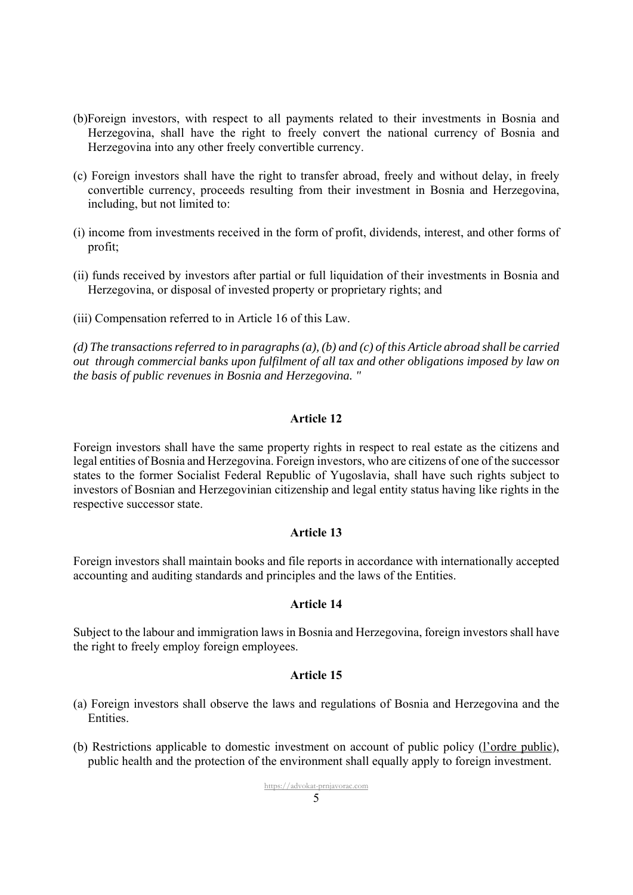- (b)Foreign investors, with respect to all payments related to their investments in Bosnia and Herzegovina, shall have the right to freely convert the national currency of Bosnia and Herzegovina into any other freely convertible currency.
- (c) Foreign investors shall have the right to transfer abroad, freely and without delay, in freely convertible currency, proceeds resulting from their investment in Bosnia and Herzegovina, including, but not limited to:
- (i) income from investments received in the form of profit, dividends, interest, and other forms of profit;
- (ii) funds received by investors after partial or full liquidation of their investments in Bosnia and Herzegovina, or disposal of invested property or proprietary rights; and
- (iii) Compensation referred to in Article 16 of this Law.

*(d) The transactions referred to in paragraphs (a), (b) and (c) of this Article abroad shall be carried out through commercial banks upon fulfilment of all tax and other obligations imposed by law on the basis of public revenues in Bosnia and Herzegovina. "* 

### **Article 12**

Foreign investors shall have the same property rights in respect to real estate as the citizens and legal entities of Bosnia and Herzegovina. Foreign investors, who are citizens of one of the successor states to the former Socialist Federal Republic of Yugoslavia, shall have such rights subject to investors of Bosnian and Herzegovinian citizenship and legal entity status having like rights in the respective successor state.

#### **Article 13**

Foreign investors shall maintain books and file reports in accordance with internationally accepted accounting and auditing standards and principles and the laws of the Entities.

## **Article 14**

Subject to the labour and immigration laws in Bosnia and Herzegovina, foreign investors shall have the right to freely employ foreign employees.

- (a) Foreign investors shall observe the laws and regulations of Bosnia and Herzegovina and the Entities.
- (b) Restrictions applicable to domestic investment on account of public policy (l'ordre public), public health and the protection of the environment shall equally apply to foreign investment.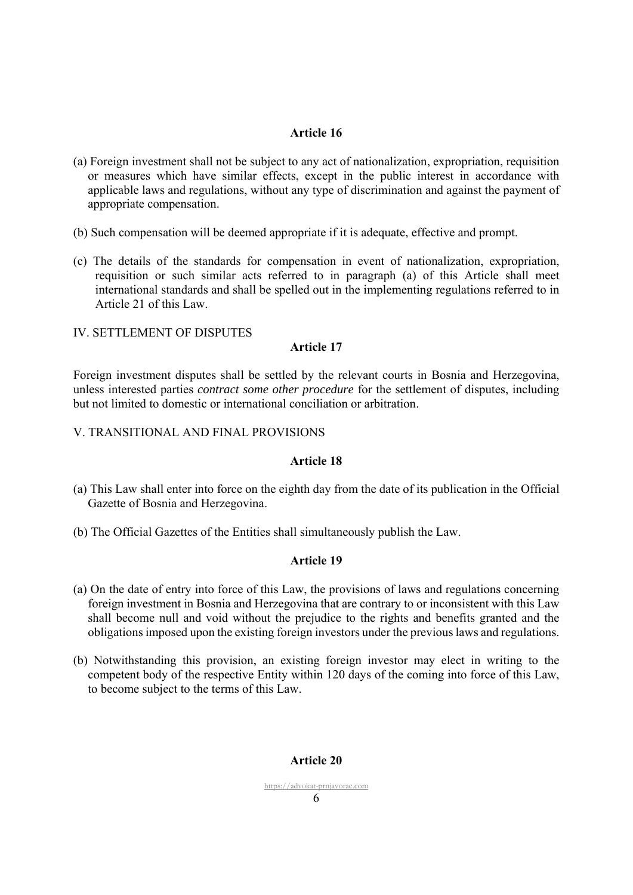# **Article 16**

- (a) Foreign investment shall not be subject to any act of nationalization, expropriation, requisition or measures which have similar effects, except in the public interest in accordance with applicable laws and regulations, without any type of discrimination and against the payment of appropriate compensation.
- (b) Such compensation will be deemed appropriate if it is adequate, effective and prompt.
- (c) The details of the standards for compensation in event of nationalization, expropriation, requisition or such similar acts referred to in paragraph (a) of this Article shall meet international standards and shall be spelled out in the implementing regulations referred to in Article 21 of this Law.

# IV. SETTLEMENT OF DISPUTES

# **Article 17**

Foreign investment disputes shall be settled by the relevant courts in Bosnia and Herzegovina, unless interested parties *contract some other procedure* for the settlement of disputes, including but not limited to domestic or international conciliation or arbitration.

# V. TRANSITIONAL AND FINAL PROVISIONS

# **Article 18**

- (a) This Law shall enter into force on the eighth day from the date of its publication in the Official Gazette of Bosnia and Herzegovina.
- (b) The Official Gazettes of the Entities shall simultaneously publish the Law.

## **Article 19**

- (a) On the date of entry into force of this Law, the provisions of laws and regulations concerning foreign investment in Bosnia and Herzegovina that are contrary to or inconsistent with this Law shall become null and void without the prejudice to the rights and benefits granted and the obligations imposed upon the existing foreign investors under the previous laws and regulations.
- (b) Notwithstanding this provision, an existing foreign investor may elect in writing to the competent body of the respective Entity within 120 days of the coming into force of this Law, to become subject to the terms of this Law.